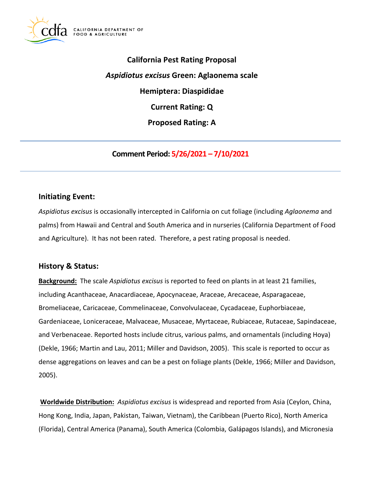

**California Pest Rating Proposal**  *Aspidiotus excisus* **Green: Aglaonema scale Hemiptera: Diaspididae Current Rating: Q Proposed Rating: A** 

**Comment Period: 5/26/2021 – 7/10/2021**

### **Initiating Event:**

*Aspidiotus excisus* is occasionally intercepted in California on cut foliage (including *Aglaonema* and palms) from Hawaii and Central and South America and in nurseries (California Department of Food and Agriculture). It has not been rated. Therefore, a pest rating proposal is needed.

### **History & Status:**

**Background:** The scale *Aspidiotus excisus* is reported to feed on plants in at least 21 families, including Acanthaceae, Anacardiaceae, Apocynaceae, Araceae, Arecaceae, Asparagaceae, Bromeliaceae, Caricaceae, Commelinaceae, Convolvulaceae, Cycadaceae, Euphorbiaceae, Gardeniaceae, Loniceraceae, Malvaceae, Musaceae, Myrtaceae, Rubiaceae, Rutaceae, Sapindaceae, and Verbenaceae. Reported hosts include citrus, various palms, and ornamentals (including Hoya) (Dekle, 1966; Martin and Lau, 2011; Miller and Davidson, 2005). This scale is reported to occur as dense aggregations on leaves and can be a pest on foliage plants (Dekle, 1966; Miller and Davidson, 2005).

**Worldwide Distribution:** *Aspidiotus excisus* is widespread and reported from Asia (Ceylon, China, Hong Kong, India, Japan, Pakistan, Taiwan, Vietnam), the Caribbean (Puerto Rico), North America (Florida), Central America (Panama), South America (Colombia, Galápagos Islands), and Micronesia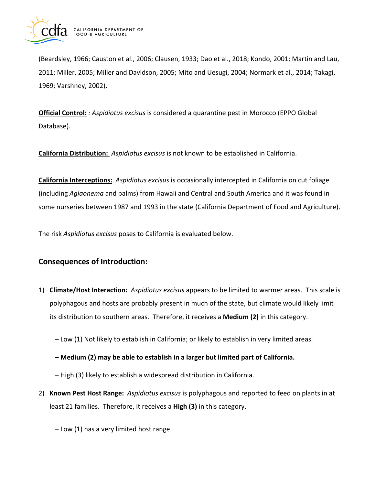

(Beardsley, 1966; Causton et al., 2006; Clausen, 1933; Dao et al., 2018; Kondo, 2001; Martin and Lau, 2011; Miller, 2005; Miller and Davidson, 2005; Mito and Uesugi, 2004; Normark et al., 2014; Takagi, 1969; Varshney, 2002).

**Official Control:** *: Aspidiotus excisus* is considered a quarantine pest in Morocco (EPPO Global Database).

**California Distribution:** *Aspidiotus excisus* is not known to be established in California.

**California Interceptions:** *Aspidiotus excisus* is occasionally intercepted in California on cut foliage (including *Aglaonema* and palms) from Hawaii and Central and South America and it was found in some nurseries between 1987 and 1993 in the state (California Department of Food and Agriculture).

The risk *Aspidiotus excisus* poses to California is evaluated below.

# **Consequences of Introduction:**

- 1) **Climate/Host Interaction:** *Aspidiotus excisus* appears to be limited to warmer areas. This scale is polyphagous and hosts are probably present in much of the state, but climate would likely limit its distribution to southern areas. Therefore, it receives a **Medium (2)** in this category.
	- Low (1) Not likely to establish in California; or likely to establish in very limited areas.
	- **– Medium (2) may be able to establish in a larger but limited part of California.**
	- High (3) likely to establish a widespread distribution in California.
- 2) **Known Pest Host Range:** *Aspidiotus excisus* is polyphagous and reported to feed on plants in at least 21 families. Therefore, it receives a **High (3)** in this category.
	- Low (1) has a very limited host range.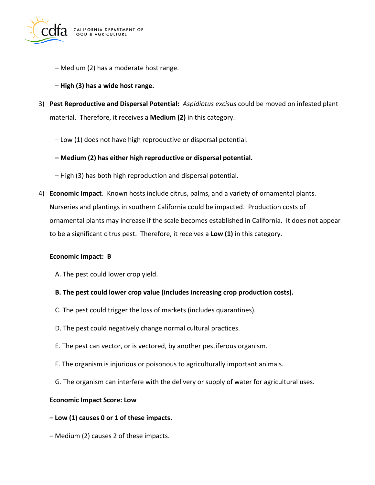

- Medium (2) has a moderate host range.
- **– High (3) has a wide host range.**
- 3) **Pest Reproductive and Dispersal Potential:** *Aspidiotus excisus* could be moved on infested plant material. Therefore, it receives a **Medium (2)** in this category.
	- Low (1) does not have high reproductive or dispersal potential.
	- **– Medium (2) has either high reproductive or dispersal potential.**
	- High (3) has both high reproduction and dispersal potential.
- 4) **Economic Impact**. Known hosts include citrus, palms, and a variety of ornamental plants. Nurseries and plantings in southern California could be impacted. Production costs of ornamental plants may increase if the scale becomes established in California. It does not appear to be a significant citrus pest. Therefore, it receives a **Low (1)** in this category.

### **Economic Impact: B**

- A. The pest could lower crop yield.
- **B. The pest could lower crop value (includes increasing crop production costs).**
- C. The pest could trigger the loss of markets (includes quarantines).
- D. The pest could negatively change normal cultural practices.
- E. The pest can vector, or is vectored, by another pestiferous organism.
- F. The organism is injurious or poisonous to agriculturally important animals.
- G. The organism can interfere with the delivery or supply of water for agricultural uses.

#### **Economic Impact Score: Low**

- **– Low (1) causes 0 or 1 of these impacts.**
- Medium (2) causes 2 of these impacts.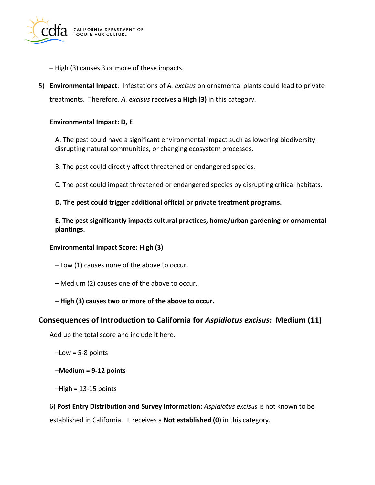

- High (3) causes 3 or more of these impacts.
- 5) **Environmental Impact**. Infestations of *A. excisus* on ornamental plants could lead to private treatments. Therefore, *A. excisus* receives a **High (3)** in this category.

### **Environmental Impact: D, E**

A. The pest could have a significant environmental impact such as lowering biodiversity, disrupting natural communities, or changing ecosystem processes.

B. The pest could directly affect threatened or endangered species.

C. The pest could impact threatened or endangered species by disrupting critical habitats.

### **D. The pest could trigger additional official or private treatment programs.**

**E. The pest significantly impacts cultural practices, home/urban gardening or ornamental plantings.** 

### **Environmental Impact Score: High (3)**

– Low (1) causes none of the above to occur.

- Medium (2) causes one of the above to occur.
- **– High (3) causes two or more of the above to occur.**

### **Consequences of Introduction to California for** *Aspidiotus excisus***: Medium (11)**

Add up the total score and include it here.

–Low = 5-8 points

**–Medium = 9-12 points** 

 $-High = 13-15$  points

6) **Post Entry Distribution and Survey Information:** *Aspidiotus excisus* is not known to be established in California. It receives a **Not established (0)** in this category.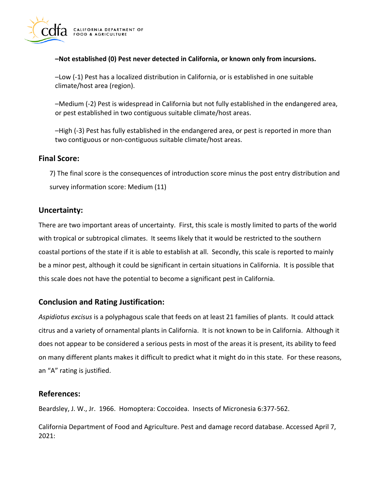

### **–Not established (0) Pest never detected in California, or known only from incursions.**

–Low (-1) Pest has a localized distribution in California, or is established in one suitable climate/host area (region).

–Medium (-2) Pest is widespread in California but not fully established in the endangered area, or pest established in two contiguous suitable climate/host areas.

–High (-3) Pest has fully established in the endangered area, or pest is reported in more than two contiguous or non-contiguous suitable climate/host areas.

# **Final Score:**

7) The final score is the consequences of introduction score minus the post entry distribution and survey information score: Medium (11)

# **Uncertainty:**

There are two important areas of uncertainty. First, this scale is mostly limited to parts of the world with tropical or subtropical climates. It seems likely that it would be restricted to the southern coastal portions of the state if it is able to establish at all. Secondly, this scale is reported to mainly be a minor pest, although it could be significant in certain situations in California. It is possible that this scale does not have the potential to become a significant pest in California.

# **Conclusion and Rating Justification:**

*Aspidiotus excisus* is a polyphagous scale that feeds on at least 21 families of plants. It could attack citrus and a variety of ornamental plants in California. It is not known to be in California. Although it does not appear to be considered a serious pests in most of the areas it is present, its ability to feed on many different plants makes it difficult to predict what it might do in this state. For these reasons, an "A" rating is justified.

# **References:**

Beardsley, J. W., Jr. 1966. Homoptera: Coccoidea. Insects of Micronesia 6:377-562.

California Department of Food and Agriculture. Pest and damage record database. Accessed April 7, 2021: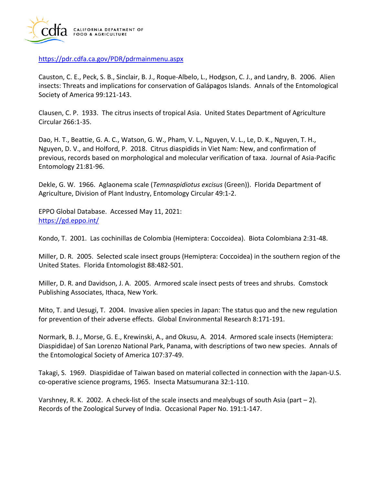

<https://pdr.cdfa.ca.gov/PDR/pdrmainmenu.aspx>

Causton, C. E., Peck, S. B., Sinclair, B. J., Roque-Albelo, L., Hodgson, C. J., and Landry, B. 2006. Alien insects: Threats and implications for conservation of Galápagos Islands. Annals of the Entomological Society of America 99:121-143.

Clausen, C. P. 1933. The citrus insects of tropical Asia. United States Department of Agriculture Circular 266:1-35.

Dao, H. T., Beattie, G. A. C., Watson, G. W., Pham, V. L., Nguyen, V. L., Le, D. K., Nguyen, T. H., Nguyen, D. V., and Holford, P. 2018. Citrus diaspidids in Viet Nam: New, and confirmation of previous, records based on morphological and molecular verification of taxa. Journal of Asia-Pacific Entomology 21:81-96.

Dekle, G. W. 1966. Aglaonema scale (*Temnaspidiotus excisus* (Green)). Florida Department of Agriculture, Division of Plant Industry, Entomology Circular 49:1-2.

EPPO Global Database. Accessed May 11, 2021: <https://gd.eppo.int/>

Kondo, T. 2001. Las cochinillas de Colombia (Hemiptera: Coccoidea). Biota Colombiana 2:31-48.

Miller, D. R. 2005. Selected scale insect groups (Hemiptera: Coccoidea) in the southern region of the United States. Florida Entomologist 88:482-501.

Miller, D. R. and Davidson, J. A. 2005. Armored scale insect pests of trees and shrubs. Comstock Publishing Associates, Ithaca, New York.

Mito, T. and Uesugi, T. 2004. Invasive alien species in Japan: The status quo and the new regulation for prevention of their adverse effects. Global Environmental Research 8:171-191.

Normark, B. J., Morse, G. E., Krewinski, A., and Okusu, A. 2014. Armored scale insects (Hemiptera: Diaspididae) of San Lorenzo National Park, Panama, with descriptions of two new species. Annals of the Entomological Society of America 107:37-49.

Takagi, S. 1969. Diaspididae of Taiwan based on material collected in connection with the Japan-U.S. co-operative science programs, 1965. Insecta Matsumurana 32:1-110.

Varshney, R. K. 2002. A check-list of the scale insects and mealybugs of south Asia (part – 2). Records of the Zoological Survey of India. Occasional Paper No. 191:1-147.